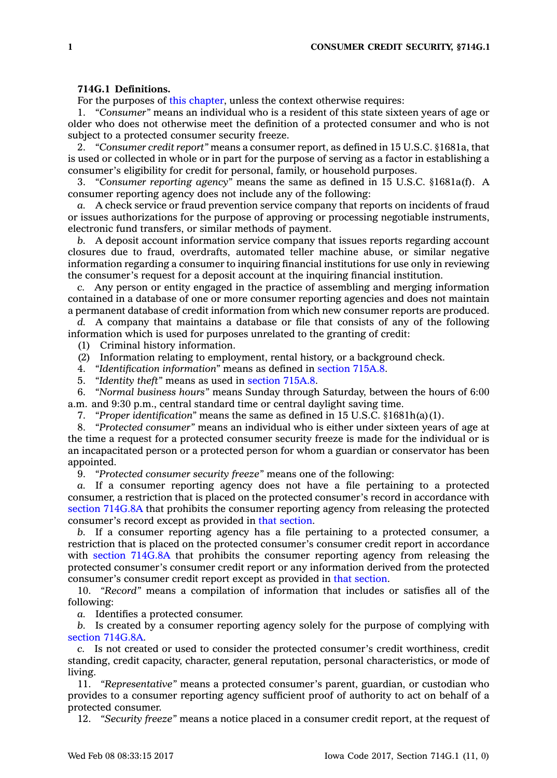## **714G.1 Definitions.**

For the purposes of this [chapter](https://www.legis.iowa.gov/docs/code//714G.pdf), unless the context otherwise requires:

1. *"Consumer"* means an individual who is <sup>a</sup> resident of this state sixteen years of age or older who does not otherwise meet the definition of <sup>a</sup> protected consumer and who is not subject to <sup>a</sup> protected consumer security freeze.

2. *"Consumer credit report"* means <sup>a</sup> consumer report, as defined in 15 U.S.C. §1681a, that is used or collected in whole or in part for the purpose of serving as <sup>a</sup> factor in establishing <sup>a</sup> consumer's eligibility for credit for personal, family, or household purposes.

3. *"Consumer reporting agency"* means the same as defined in 15 U.S.C. §1681a(f). A consumer reporting agency does not include any of the following:

*a.* A check service or fraud prevention service company that reports on incidents of fraud or issues authorizations for the purpose of approving or processing negotiable instruments, electronic fund transfers, or similar methods of payment.

*b.* A deposit account information service company that issues reports regarding account closures due to fraud, overdrafts, automated teller machine abuse, or similar negative information regarding <sup>a</sup> consumer to inquiring financial institutions for use only in reviewing the consumer's request for <sup>a</sup> deposit account at the inquiring financial institution.

*c.* Any person or entity engaged in the practice of assembling and merging information contained in <sup>a</sup> database of one or more consumer reporting agencies and does not maintain <sup>a</sup> permanent database of credit information from which new consumer reports are produced.

*d.* A company that maintains <sup>a</sup> database or file that consists of any of the following information which is used for purposes unrelated to the granting of credit:

(1) Criminal history information.

(2) Information relating to employment, rental history, or <sup>a</sup> background check.

4. *"Identification information"* means as defined in [section](https://www.legis.iowa.gov/docs/code/715A.8.pdf) 715A.8.

5. *"Identity theft"* means as used in [section](https://www.legis.iowa.gov/docs/code/715A.8.pdf) 715A.8.

6. *"Normal business hours"* means Sunday through Saturday, between the hours of 6:00 a.m. and 9:30 p.m., central standard time or central daylight saving time.

7. *"Proper identification"* means the same as defined in 15 U.S.C. §1681h(a)(1).

8. *"Protected consumer"* means an individual who is either under sixteen years of age at the time <sup>a</sup> request for <sup>a</sup> protected consumer security freeze is made for the individual or is an incapacitated person or <sup>a</sup> protected person for whom <sup>a</sup> guardian or conservator has been appointed.

9. *"Protected consumer security freeze"* means one of the following:

*a.* If <sup>a</sup> consumer reporting agency does not have <sup>a</sup> file pertaining to <sup>a</sup> protected consumer, <sup>a</sup> restriction that is placed on the protected consumer's record in accordance with section [714G.8A](https://www.legis.iowa.gov/docs/code/714G.8A.pdf) that prohibits the consumer reporting agency from releasing the protected consumer's record except as provided in that [section](https://www.legis.iowa.gov/docs/code/714G.8A.pdf).

*b.* If <sup>a</sup> consumer reporting agency has <sup>a</sup> file pertaining to <sup>a</sup> protected consumer, <sup>a</sup> restriction that is placed on the protected consumer's consumer credit report in accordance with section [714G.8A](https://www.legis.iowa.gov/docs/code/714G.8A.pdf) that prohibits the consumer reporting agency from releasing the protected consumer's consumer credit report or any information derived from the protected consumer's consumer credit report except as provided in that [section](https://www.legis.iowa.gov/docs/code/714G.8A.pdf).

10. *"Record"* means <sup>a</sup> compilation of information that includes or satisfies all of the following:

*a.* Identifies <sup>a</sup> protected consumer.

*b.* Is created by <sup>a</sup> consumer reporting agency solely for the purpose of complying with section [714G.8A](https://www.legis.iowa.gov/docs/code/714G.8A.pdf).

*c.* Is not created or used to consider the protected consumer's credit worthiness, credit standing, credit capacity, character, general reputation, personal characteristics, or mode of living.

11. *"Representative"* means <sup>a</sup> protected consumer's parent, guardian, or custodian who provides to <sup>a</sup> consumer reporting agency sufficient proof of authority to act on behalf of <sup>a</sup> protected consumer.

12. *"Security freeze"* means <sup>a</sup> notice placed in <sup>a</sup> consumer credit report, at the request of